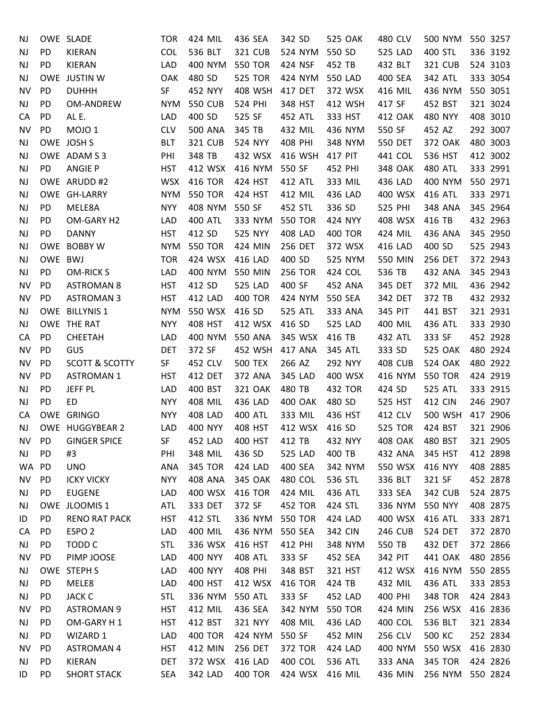| NJ        |           | OWE SLADE                 | <b>TOR</b> | 424 MIL        | 436 SEA        | 342 SD         | 525 OAK        | 480 CLV        | 500 NYM          | 550 3257 |
|-----------|-----------|---------------------------|------------|----------------|----------------|----------------|----------------|----------------|------------------|----------|
| <b>NJ</b> | PD        | KIERAN                    | <b>COL</b> | 536 BLT        | 321 CUB        | 524 NYM        | 550 SD         | 525 LAD        | 400 STL          | 336 3192 |
| NJ        | PD        | <b>KIERAN</b>             | LAD        | 400 NYM        | <b>550 TOR</b> | 424 NSF        | 452 TB         | 432 BLT        | <b>321 CUB</b>   | 524 3103 |
| <b>NJ</b> |           | OWE JUSTIN W              | OAK        | 480 SD         | <b>525 TOR</b> | 424 NYM        | 550 LAD        | 400 SEA        | 342 ATL          | 333 3054 |
| <b>NV</b> | PD        | <b>DUHHH</b>              | SF         | 452 NYY        | 408 WSH        | 417 DET        | 372 WSX        | 416 MIL        | 436 NYM          | 550 3051 |
| NJ        | PD        | OM-ANDREW                 | <b>NYM</b> | <b>550 CUB</b> | 524 PHI        | 348 HST        | 412 WSH        | 417 SF         | 452 BST          | 321 3024 |
| CA        | PD        | AL E.                     | <b>LAD</b> | 400 SD         | 525 SF         | 452 ATL        | 333 HST        | 412 OAK        | 480 NYY          | 408 3010 |
| <b>NV</b> | PD        | MOJO <sub>1</sub>         | <b>CLV</b> | <b>500 ANA</b> | 345 TB         | 432 MIL        | 436 NYM        | 550 SF         | 452 AZ           | 292 3007 |
| <b>NJ</b> |           | OWE JOSH S                | <b>BLT</b> | 321 CUB        | 524 NYY        | 408 PHI        | 348 NYM        | 550 DET        | 372 OAK          | 480 3003 |
| <b>NJ</b> |           | OWE ADAM S 3              | PHI        | 348 TB         | 432 WSX        | 416 WSH        | 417 PIT        | 441 COL        | 536 HST          | 412 3002 |
| <b>NJ</b> | PD        | <b>ANGIE P</b>            | <b>HST</b> | 412 WSX        | 416 NYM        | 550 SF         | 452 PHI        | 348 OAK        | 480 ATL          | 333 2991 |
| <b>NJ</b> |           | OWE ARUDD #2              | WSX        | 416 TOR        | 424 HST        | 412 ATL        | 333 MIL        | 436 LAD        | 400 NYM          | 550 2971 |
| <b>NJ</b> |           | OWE GH-LARRY              | <b>NYM</b> | <b>550 TOR</b> | 424 HST        | 412 MIL        | 436 LAD        | 400 WSX        | 416 ATL          | 333 2971 |
| <b>NJ</b> | PD        | MELE8A                    | <b>NYY</b> | 408 NYM        | 550 SF         | 452 STL        | 336 SD         | 525 PHI        | 348 ANA          | 345 2964 |
| <b>NJ</b> | PD        | OM-GARY H2                | <b>LAD</b> | <b>400 ATL</b> | 333 NYM        | <b>550 TOR</b> | 424 NYY        | 408 WSX        | 416 TB           | 432 2963 |
| <b>NJ</b> | PD        | <b>DANNY</b>              | <b>HST</b> | 412 SD         | 525 NYY        | 408 LAD        | 400 TOR        | 424 MIL        | 436 ANA          | 345 2950 |
| <b>NJ</b> |           | OWE BOBBY W               | <b>NYM</b> | <b>550 TOR</b> | 424 MIN        | 256 DET        | 372 WSX        | 416 LAD        | 400 SD           | 525 2943 |
| <b>NJ</b> | OWE BWJ   |                           | <b>TOR</b> | 424 WSX        | 416 LAD        | 400 SD         | 525 NYM        | 550 MIN        | 256 DET          | 372 2943 |
| <b>NJ</b> | PD        | <b>OM-RICKS</b>           | LAD        | 400 NYM        | 550 MIN        | <b>256 TOR</b> | 424 COL        | 536 TB         | 432 ANA          | 345 2943 |
| <b>NV</b> | PD        | <b>ASTROMAN 8</b>         | <b>HST</b> | 412 SD         | 525 LAD        | 400 SF         | 452 ANA        | 345 DET        | 372 MIL          | 436 2942 |
| <b>NV</b> | PD        | <b>ASTROMAN 3</b>         | <b>HST</b> | 412 LAD        | 400 TOR        | 424 NYM        | 550 SEA        | 342 DET        | 372 TB           | 432 2932 |
| NJ        |           | OWE BILLYNIS 1            | <b>NYM</b> | 550 WSX        | 416 SD         | 525 ATL        | 333 ANA        | 345 PIT        | 441 BST          | 321 2931 |
| NJ        |           | OWE THE RAT               | <b>NYY</b> | 408 HST        | 412 WSX        | 416 SD         | 525 LAD        | 400 MIL        | 436 ATL          | 333 2930 |
| CA        | PD        | CHEETAH                   | LAD        | 400 NYM        | 550 ANA        | 345 WSX        | 416 TB         | 432 ATL        | 333 SF           | 452 2928 |
| <b>NV</b> | PD        | <b>GUS</b>                | <b>DET</b> | 372 SF         | 452 WSH        | 417 ANA        | 345 ATL        | 333 SD         | 525 OAK          | 480 2924 |
| <b>NV</b> | PD        | <b>SCOTT &amp; SCOTTY</b> | SF         | 452 CLV        | <b>500 TEX</b> | 266 AZ         | 292 NYY        | <b>408 CUB</b> | <b>524 OAK</b>   | 480 2922 |
| <b>NV</b> | PD        | <b>ASTROMAN 1</b>         | <b>HST</b> | 412 DET        | 372 ANA        | 345 LAD        | 400 WSX        | 416 NYM        | <b>550 TOR</b>   | 424 2919 |
| <b>NJ</b> | <b>PD</b> | JEFF PL                   | <b>LAD</b> | 400 BST        | 321 OAK        | 480 TB         | 432 TOR        | 424 SD         | 525 ATL          | 333 2915 |
| <b>NJ</b> | PD        | ED                        | <b>NYY</b> | 408 MIL        | 436 LAD        | <b>400 OAK</b> | 480 SD         | 525 HST        | <b>412 CIN</b>   | 246 2907 |
| CA        |           | OWE GRINGO                | <b>NYY</b> | 408 LAD        | <b>400 ATL</b> | 333 MIL        | 436 HST        | 412 CLV        | 500 WSH          | 417 2906 |
| NJ.       |           | OWE HUGGYBEAR 2           | LAD        | <b>400 NYY</b> | 408 HST        | 412 WSX        | 416 SD         | <b>525 TOR</b> | 424 BST          | 321 2906 |
| NV        | <b>PD</b> | <b>GINGER SPICE</b>       | SF         | 452 LAD        | 400 HST        | 412 TB         | 432 NYY        | 408 OAK        | 480 BST          | 321 2905 |
| <b>NJ</b> | PD        | #3                        | PHI        | 348 MIL        | 436 SD         | 525 LAD        | 400 TB         | 432 ANA        | 345 HST          | 412 2898 |
| WA        | <b>PD</b> | <b>UNO</b>                | ANA        | 345 TOR        | 424 LAD        | 400 SEA        | 342 NYM        | 550 WSX        | 416 NYY          | 408 2885 |
| NV        | <b>PD</b> | <b>ICKY VICKY</b>         | <b>NYY</b> | 408 ANA        | 345 OAK        | 480 COL        | 536 STL        | 336 BLT        | 321 SF           | 452 2878 |
| NJ        | PD        | <b>EUGENE</b>             | LAD        | 400 WSX        | 416 TOR        | 424 MIL        | 436 ATL        | 333 SEA        | <b>342 CUB</b>   | 524 2875 |
| NJ        |           | OWE JLOOMIS 1             | ATL        | 333 DET        | 372 SF         | <b>452 TOR</b> | 424 STL        | 336 NYM        | 550 NYY          | 408 2875 |
| ID        | PD        | <b>RENO RAT PACK</b>      | <b>HST</b> | 412 STL        | 336 NYM        | 550 TOR        | 424 LAD        | 400 WSX        | 416 ATL          | 333 2871 |
| CA        | PD        | ESPO <sub>2</sub>         | LAD        | 400 MIL        | 436 NYM        | 550 SEA        | 342 CIN        | <b>246 CUB</b> | 524 DET          | 372 2870 |
| NJ        | PD        | <b>TODD C</b>             | <b>STL</b> | 336 WSX        | 416 HST        | 412 PHI        | 348 NYM        | 550 TB         | 432 DET          | 372 2866 |
| <b>NV</b> | PD.       | PIMP JOOSE                | LAD        | 400 NYY        | <b>408 ATL</b> | 333 SF         | 452 SEA        | 342 PIT        | 441 OAK          | 480 2856 |
| NJ        |           | OWE STEPH S               | LAD        | 400 NYY        | 408 PHI        | 348 BST        | 321 HST        | 412 WSX        | 416 NYM          | 550 2855 |
| <b>NJ</b> | PD        | MELE8                     | LAD        | 400 HST        | 412 WSX        | 416 TOR        | 424 TB         | 432 MIL        | 436 ATL          | 333 2853 |
| NJ        | PD        | <b>JACK C</b>             | <b>STL</b> | 336 NYM        | <b>550 ATL</b> | 333 SF         | 452 LAD        | 400 PHI        | <b>348 TOR</b>   | 424 2843 |
| <b>NV</b> | PD        | <b>ASTROMAN 9</b>         | <b>HST</b> | 412 MIL        | 436 SEA        | 342 NYM        | <b>550 TOR</b> | 424 MIN        | 256 WSX          | 416 2836 |
| NJ        | <b>PD</b> | OM-GARY H1                | <b>HST</b> | 412 BST        | 321 NYY        | 408 MIL        | 436 LAD        | 400 COL        | 536 BLT          | 321 2834 |
| <b>NJ</b> | <b>PD</b> | WIZARD 1                  | LAD        | <b>400 TOR</b> | 424 NYM        | 550 SF         | 452 MIN        | 256 CLV        | 500 KC           | 252 2834 |
| <b>NV</b> | <b>PD</b> | <b>ASTROMAN 4</b>         | <b>HST</b> | 412 MIN        | 256 DET        | 372 TOR        | 424 LAD        | 400 NYM        | 550 WSX          | 416 2830 |
| NJ        | <b>PD</b> | KIERAN                    | <b>DET</b> | 372 WSX        | 416 LAD        | 400 COL        | 536 ATL        | 333 ANA        | <b>345 TOR</b>   | 424 2826 |
| ID        | PD        | <b>SHORT STACK</b>        | <b>SEA</b> | 342 LAD        | 400 TOR        | 424 WSX        | 416 MIL        | 436 MIN        | 256 NYM 550 2824 |          |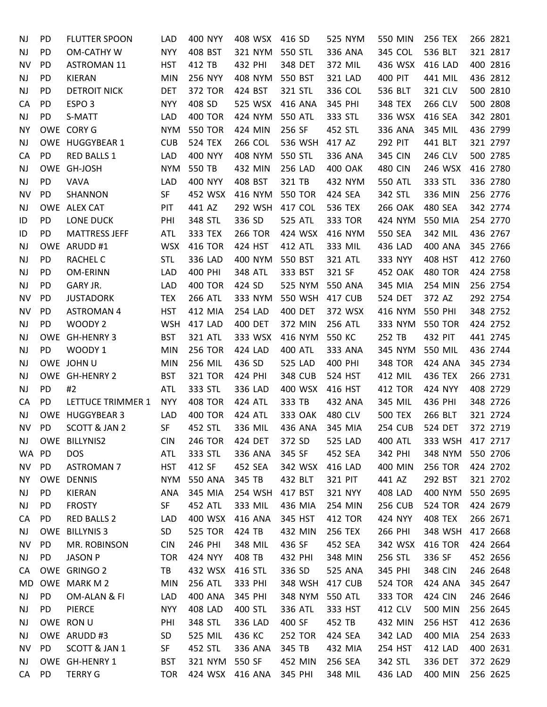| NJ        | PD        | <b>FLUTTER SPOON</b>     | LAD        | 400 NYY         | 408 WSX        | 416 SD         | 525 NYM        | 550 MIN        | <b>256 TEX</b> | 266 2821 |
|-----------|-----------|--------------------------|------------|-----------------|----------------|----------------|----------------|----------------|----------------|----------|
| NJ        | PD        | OM-CATHY W               | <b>NYY</b> | 408 BST         | 321 NYM        | 550 STL        | 336 ANA        | 345 COL        | 536 BLT        | 321 2817 |
| NV        | PD        | <b>ASTROMAN 11</b>       | <b>HST</b> | 412 TB          | 432 PHI        | 348 DET        | 372 MIL        | 436 WSX        | 416 LAD        | 400 2816 |
| NJ        | PD        | <b>KIERAN</b>            | <b>MIN</b> | 256 NYY         | 408 NYM        | 550 BST        | 321 LAD        | 400 PIT        | 441 MIL        | 436 2812 |
| NJ        | PD        | <b>DETROIT NICK</b>      | <b>DET</b> | 372 TOR         | 424 BST        | 321 STL        | 336 COL        | 536 BLT        | 321 CLV        | 500 2810 |
| CA        | PD        | ESPO <sub>3</sub>        | <b>NYY</b> | 408 SD          | 525 WSX        | 416 ANA        | 345 PHI        | 348 TEX        | 266 CLV        | 500 2808 |
| NJ        | PD        | S-MATT                   | LAD        | <b>400 TOR</b>  | 424 NYM        | 550 ATL        | 333 STL        | 336 WSX        | 416 SEA        | 342 2801 |
| <b>NY</b> |           | OWE CORY G               | <b>NYM</b> | <b>550 TOR</b>  | 424 MIN        | 256 SF         | 452 STL        | 336 ANA        | 345 MIL        | 436 2799 |
| NJ        |           | OWE HUGGYBEAR 1          | <b>CUB</b> | <b>524 TEX</b>  | 266 COL        | 536 WSH        | 417 AZ         | 292 PIT        | 441 BLT        | 321 2797 |
| CA        | PD        | RED BALLS 1              | LAD        | <b>400 NYY</b>  | 408 NYM        | 550 STL        | 336 ANA        | 345 CIN        | 246 CLV        | 500 2785 |
| NJ        |           | OWE GH-JOSH              | <b>NYM</b> | 550 TB          | 432 MIN        | 256 LAD        | <b>400 OAK</b> | <b>480 CIN</b> | 246 WSX        | 416 2780 |
| NJ        | PD        | VAVA                     | LAD        | 400 NYY         | 408 BST        | 321 TB         | 432 NYM        | 550 ATL        | 333 STL        | 336 2780 |
| ΝV        | PD        | SHANNON                  | SF         | 452 WSX         | 416 NYM        | <b>550 TOR</b> | 424 SEA        | 342 STL        | 336 MIN        | 256 2776 |
| NJ        |           | OWE ALEX CAT             | PIT        | 441 AZ          | 292 WSH        | 417 COL        | 536 TEX        | <b>266 OAK</b> | 480 SEA        | 342 2774 |
| ID        | PD        | LONE DUCK                | PHI        | 348 STL         | 336 SD         | <b>525 ATL</b> | 333 TOR        | 424 NYM        | 550 MIA        | 254 2770 |
| ID        | PD        | <b>MATTRESS JEFF</b>     | <b>ATL</b> | 333 TEX         | <b>266 TOR</b> | 424 WSX        | 416 NYM        | 550 SEA        | 342 MIL        | 436 2767 |
| NJ        |           | OWE ARUDD #1             | <b>WSX</b> | <b>416 TOR</b>  | 424 HST        | 412 ATL        | 333 MIL        | 436 LAD        | 400 ANA        | 345 2766 |
| NJ        | PD        | <b>RACHEL C</b>          | <b>STL</b> | 336 LAD         | 400 NYM        | 550 BST        | 321 ATL        | 333 NYY        | 408 HST        | 412 2760 |
| NJ        | PD        | OM-ERINN                 | <b>LAD</b> | 400 PHI         | 348 ATL        | 333 BST        | 321 SF         | 452 OAK        | <b>480 TOR</b> | 424 2758 |
| NJ        | PD        | GARY JR.                 | LAD        | <b>400 TOR</b>  | 424 SD         | 525 NYM        | 550 ANA        | 345 MIA        | 254 MIN        | 256 2754 |
| NV        | PD        | <b>JUSTADORK</b>         | <b>TEX</b> | <b>266 ATL</b>  | 333 NYM        | 550 WSH        | 417 CUB        | 524 DET        | 372 AZ         | 292 2754 |
| NV        | PD        | <b>ASTROMAN 4</b>        | <b>HST</b> | 412 MIA         | 254 LAD        | 400 DET        | 372 WSX        | 416 NYM        | 550 PHI        | 348 2752 |
| NJ        | PD        | WOODY <sub>2</sub>       | <b>WSH</b> | 417 LAD         | 400 DET        | 372 MIN        | <b>256 ATL</b> | 333 NYM        | <b>550 TOR</b> | 424 2752 |
| NJ        |           | OWE GH-HENRY 3           | <b>BST</b> | 321 ATL         | 333 WSX        | 416 NYM        | 550 KC         | 252 TB         | 432 PIT        | 441 2745 |
| NJ        | PD        | WOODY 1                  | <b>MIN</b> | <b>256 TOR</b>  | 424 LAD        | 400 ATL        | 333 ANA        | 345 NYM        | 550 MIL        | 436 2744 |
| NJ        |           | OWE JOHN U               | <b>MIN</b> | 256 MIL         | 436 SD         | 525 LAD        | 400 PHI        | <b>348 TOR</b> | 424 ANA        | 345 2734 |
| NJ        |           | OWE GH-HENRY 2           | <b>BST</b> | 321 TOR         | 424 PHI        | <b>348 CUB</b> | 524 HST        | 412 MIL        | 436 TEX        | 266 2731 |
| NJ        | PD        | #2                       | <b>ATL</b> | 333 STL         | 336 LAD        | 400 WSX        | 416 HST        | 412 TOR        | 424 NYY        | 408 2729 |
| CA        | PD        | LETTUCE TRIMMER 1        | <b>NYY</b> | <b>408 TOR</b>  | 424 ATL        | 333 TB         | 432 ANA        | 345 MIL        | 436 PHI        | 348 2726 |
| NJ        |           | OWE HUGGYBEAR 3          | LAD        | <b>400 TOR</b>  | 424 ATL        | 333 OAK        | 480 CLV        | <b>500 TEX</b> | 266 BLT        | 321 2724 |
| ΝV        | PD        | <b>SCOTT &amp; JAN 2</b> | <b>SF</b>  | 452 STL         | 336 MIL        | 436 ANA        | 345 MIA        | <b>254 CUB</b> | <b>524 DET</b> | 372 2719 |
| NJ.       |           | OWE BILLYNIS2            | <b>CIN</b> | <b>246 TOR</b>  | 424 DET        | 372 SD         | 525 LAD        | 400 ATL        | 333 WSH        | 417 2717 |
| WA.       | <b>PD</b> | <b>DOS</b>               | ATL        | 333 STL         | 336 ANA        | 345 SF         | 452 SEA        | 342 PHI        | 348 NYM        | 550 2706 |
| NV        | PD        | <b>ASTROMAN 7</b>        | <b>HST</b> | 412 SF          | 452 SEA        | 342 WSX        | 416 LAD        | 400 MIN        | <b>256 TOR</b> | 424 2702 |
| NΥ        |           | OWE DENNIS               | <b>NYM</b> | 550 ANA         | 345 TB         | 432 BLT        | 321 PIT        | 441 AZ         | 292 BST        | 321 2702 |
| <b>NJ</b> | PD        | KIERAN                   | ANA        | 345 MIA         | 254 WSH        | 417 BST        | 321 NYY        | <b>408 LAD</b> | 400 NYM        | 550 2695 |
| NJ        | PD        | <b>FROSTY</b>            | SF         | 452 ATL         | 333 MIL        | 436 MIA        | 254 MIN        | <b>256 CUB</b> | <b>524 TOR</b> | 424 2679 |
| CA        | PD        | <b>RED BALLS 2</b>       | LAD        | 400 WSX         | 416 ANA        | 345 HST        | 412 TOR        | 424 NYY        | 408 TEX        | 266 2671 |
| NJ        |           | OWE BILLYNIS 3           | SD         | <b>525 TOR</b>  | 424 TB         | 432 MIN        | 256 TEX        | 266 PHI        | 348 WSH        | 417 2668 |
| NV        | <b>PD</b> | MR. ROBINSON             | <b>CIN</b> | 246 PHI         | 348 MIL        | 436 SF         | 452 SEA        | 342 WSX        | 416 TOR        | 424 2664 |
| NJ        | PD.       | <b>JASON P</b>           | <b>TOR</b> | 424 NYY         | 408 TB         | 432 PHI        | 348 MIN        | 256 STL        | 336 SF         | 452 2656 |
| CA        |           | OWE GRINGO 2             | TB         | 432 WSX         | 416 STL        | 336 SD         | 525 ANA        | 345 PHI        | 348 CIN        | 246 2648 |
| MD        |           | OWE MARK M 2             | <b>MIN</b> | 256 ATL         | 333 PHI        | 348 WSH        | 417 CUB        | <b>524 TOR</b> | 424 ANA        | 345 2647 |
| NJ        | PD        | OM-ALAN & FI             | LAD        | 400 ANA         | 345 PHI        | 348 NYM        | 550 ATL        | 333 TOR        | 424 CIN        | 246 2646 |
| NJ        | PD        | <b>PIERCE</b>            | <b>NYY</b> | 408 LAD         | 400 STL        | 336 ATL        | 333 HST        | 412 CLV        | 500 MIN        | 256 2645 |
| NJ        |           | OWE RON U                | PHI        | 348 STL         | 336 LAD        | 400 SF         | 452 TB         | 432 MIN        | 256 HST        | 412 2636 |
| NJ        |           | OWE ARUDD #3             | SD         | 525 MIL         | 436 KC         | <b>252 TOR</b> | 424 SEA        | 342 LAD        | 400 MIA        | 254 2633 |
| <b>NV</b> | <b>PD</b> | SCOTT & JAN 1            | SF         | 452 STL         | 336 ANA        | 345 TB         | 432 MIA        | 254 HST        | 412 LAD        | 400 2631 |
| NJ.       |           | OWE GH-HENRY 1           | <b>BST</b> | 321 NYM         | 550 SF         | 452 MIN        | 256 SEA        | 342 STL        | 336 DET        | 372 2629 |
| CA        | PD        | <b>TERRY G</b>           | <b>TOR</b> | 424 WSX 416 ANA |                | 345 PHI        | 348 MIL        | 436 LAD        | 400 MIN        | 256 2625 |